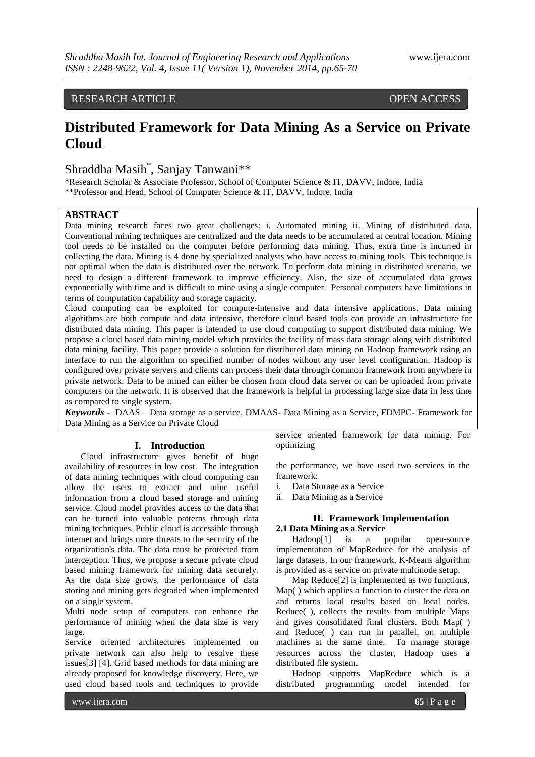# RESEARCH ARTICLE OPEN ACCESS

# **Distributed Framework for Data Mining As a Service on Private Cloud**

# Shraddha Masih\* , Sanjay Tanwani\*\*

\*Research Scholar & Associate Professor, School of Computer Science & IT, DAVV, Indore, India \*\*Professor and Head, School of Computer Science & IT, DAVV, Indore, India

# **ABSTRACT**

Data mining research faces two great challenges: i. Automated mining ii. Mining of distributed data. Conventional mining techniques are centralized and the data needs to be accumulated at central location. Mining tool needs to be installed on the computer before performing data mining. Thus, extra time is incurred in collecting the data. Mining is 4 done by specialized analysts who have access to mining tools. This technique is not optimal when the data is distributed over the network. To perform data mining in distributed scenario, we need to design a different framework to improve efficiency. Also, the size of accumulated data grows exponentially with time and is difficult to mine using a single computer. Personal computers have limitations in terms of computation capability and storage capacity.

Cloud computing can be exploited for compute-intensive and data intensive applications. Data mining algorithms are both compute and data intensive, therefore cloud based tools can provide an infrastructure for distributed data mining. This paper is intended to use cloud computing to support distributed data mining. We propose a cloud based data mining model which provides the facility of mass data storage along with distributed data mining facility. This paper provide a solution for distributed data mining on Hadoop framework using an interface to run the algorithm on specified number of nodes without any user level configuration. Hadoop is configured over private servers and clients can process their data through common framework from anywhere in private network. Data to be mined can either be chosen from cloud data server or can be uploaded from private computers on the network. It is observed that the framework is helpful in processing large size data in less time as compared to single system.

*Keywords* - DAAS – Data storage as a service, DMAAS- Data Mining as a Service, FDMPC- Framework for Data Mining as a Service on Private Cloud

#### **I. Introduction**

Cloud infrastructure gives benefit of huge availability of resources in low cost. The integration of data mining techniques with cloud computing can allow the users to extract and mine useful information from a cloud based storage and mining service. Cloud model provides access to the data ithat can be turned into valuable patterns through data mining techniques. Public cloud is accessible through internet and brings more threats to the security of the organization's data. The data must be protected from interception. Thus, we propose a secure private cloud based mining framework for mining data securely. As the data size grows, the performance of data storing and mining gets degraded when implemented on a single system.

Multi node setup of computers can enhance the performance of mining when the data size is very large.

Service oriented architectures implemented on private network can also help to resolve these issues[3] [4]. Grid based methods for data mining are already proposed for knowledge discovery. Here, we used cloud based tools and techniques to provide

service oriented framework for data mining. For optimizing

the performance, we have used two services in the framework:

- i. Data Storage as a Service
- ii. Data Mining as a Service

#### **II. Framework Implementation 2.1 Data Mining as a Service**

Hadoop[1] is a popular open-source implementation of MapReduce for the analysis of large datasets. In our framework, K-Means algorithm is provided as a service on private multinode setup.

Map Reduce[2] is implemented as two functions, Map( ) which applies a function to cluster the data on and returns local results based on local nodes. Reduce( ), collects the results from multiple Maps and gives consolidated final clusters. Both Map( ) and Reduce( ) can run in parallel, on multiple machines at the same time. To manage storage resources across the cluster, Hadoop uses a distributed file system.

Hadoop supports MapReduce which is a distributed programming model intended for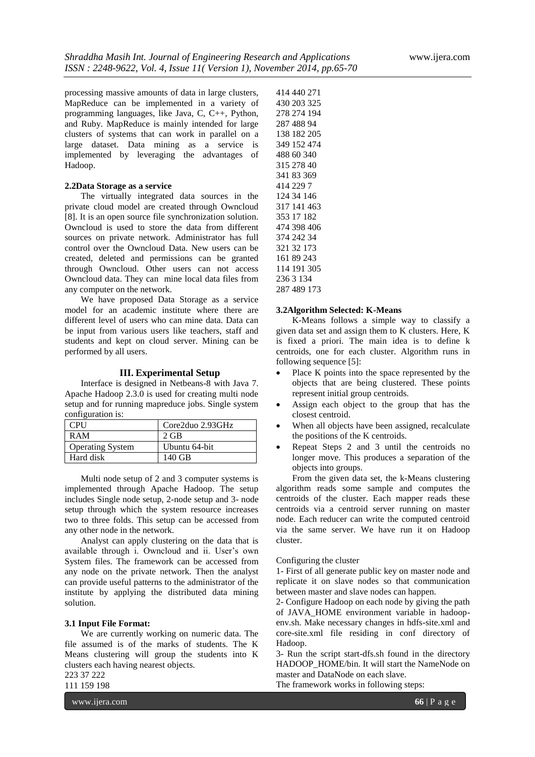processing massive amounts of data in large clusters, MapReduce can be implemented in a variety of programming languages, like Java, C, C++, Python, and Ruby. MapReduce is mainly intended for large clusters of systems that can work in parallel on a large dataset. Data mining as a service is implemented by leveraging the advantages of Hadoop.

### **2.2Data Storage as a service**

The virtually integrated data sources in the private cloud model are created through Owncloud [8]. It is an open source file synchronization solution. Owncloud is used to store the data from different sources on private network. Administrator has full control over the Owncloud Data. New users can be created, deleted and permissions can be granted through Owncloud. Other users can not access Owncloud data. They can mine local data files from any computer on the network.

We have proposed Data Storage as a service model for an academic institute where there are different level of users who can mine data. Data can be input from various users like teachers, staff and students and kept on cloud server. Mining can be performed by all users.

# **III. Experimental Setup**

Interface is designed in Netbeans-8 with Java 7. Apache Hadoop 2.3.0 is used for creating multi node setup and for running mapreduce jobs. Single system configuration is:

| CPU                     | Core2duo 2.93GHz |
|-------------------------|------------------|
| R A M                   | $2$ GB           |
| <b>Operating System</b> | Ubuntu 64-bit    |
| Hard disk               | 140 GB           |

Multi node setup of 2 and 3 computer systems is implemented through Apache Hadoop. The setup includes Single node setup, 2-node setup and 3- node setup through which the system resource increases two to three folds. This setup can be accessed from any other node in the network.

Analyst can apply clustering on the data that is available through i. Owncloud and ii. User's own System files. The framework can be accessed from any node on the private network. Then the analyst can provide useful patterns to the administrator of the institute by applying the distributed data mining solution.

# **3.1 Input File Format:**

We are currently working on numeric data. The file assumed is of the marks of students. The K Means clustering will group the students into K clusters each having nearest objects. 223 37 222

111 159 198

www.ijera.com **66** | P a g e

414 440 271

#### **3.2Algorithm Selected: K-Means**

K-Means follows a simple way to classify a given data set and assign them to K clusters. Here, K is fixed a priori. The main idea is to define k centroids, one for each cluster. Algorithm runs in following sequence [5]:

- Place K points into the space represented by the objects that are being clustered. These points represent initial group centroids.
- Assign each object to the group that has the closest centroid.
- When all objects have been assigned, recalculate the positions of the K centroids.
- Repeat Steps 2 and 3 until the centroids no longer move. This produces a separation of the objects into groups.

From the given data set, the k-Means clustering algorithm reads some sample and computes the centroids of the cluster. Each mapper reads these centroids via a centroid server running on master node. Each reducer can write the computed centroid via the same server. We have run it on Hadoop cluster.

#### Configuring the cluster

1- First of all generate public key on master node and replicate it on slave nodes so that communication between master and slave nodes can happen.

2- Configure Hadoop on each node by giving the path of JAVA\_HOME environment variable in hadoopenv.sh. Make necessary changes in hdfs-site.xml and core-site.xml file residing in conf directory of Hadoop.

3- Run the script start-dfs.sh found in the directory HADOOP HOME/bin. It will start the NameNode on master and DataNode on each slave.

The framework works in following steps: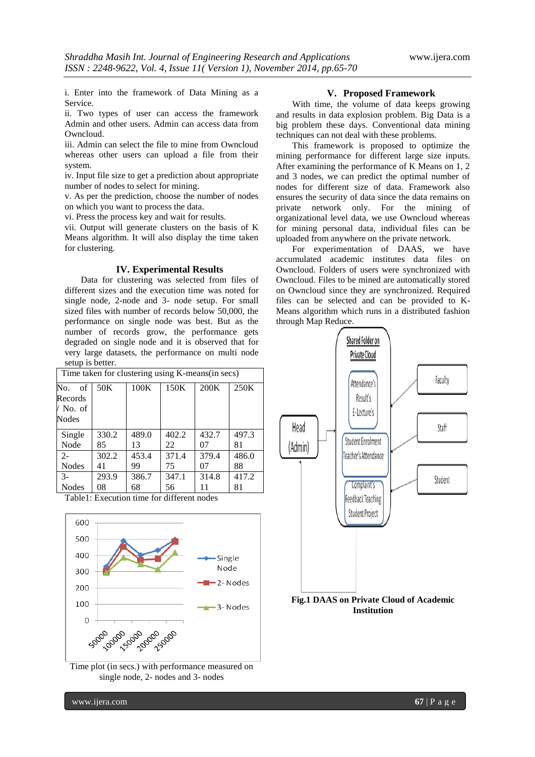i. Enter into the framework of Data Mining as a Service.

ii. Two types of user can access the framework Admin and other users. Admin can access data from Owncloud.

iii. Admin can select the file to mine from Owncloud whereas other users can upload a file from their system.

iv. Input file size to get a prediction about appropriate number of nodes to select for mining.

v. As per the prediction, choose the number of nodes on which you want to process the data.

vi. Press the process key and wait for results.

vii. Output will generate clusters on the basis of K Means algorithm. It will also display the time taken for clustering.

#### **IV. Experimental Results**

Data for clustering was selected from files of different sizes and the execution time was noted for single node, 2-node and 3- node setup. For small sized files with number of records below 50,000, the performance on single node was best. But as the number of records grow, the performance gets degraded on single node and it is observed that for very large datasets, the performance on multi node setup is better.

| Time taken for clustering using K-means(in secs) |       |       |       |       |       |  |  |
|--------------------------------------------------|-------|-------|-------|-------|-------|--|--|
| of<br>No.                                        | 50K   | 100K  | 150K  | 200K  | 250K  |  |  |
| Records                                          |       |       |       |       |       |  |  |
| / No. of                                         |       |       |       |       |       |  |  |
| Nodes                                            |       |       |       |       |       |  |  |
| Single                                           | 330.2 | 489.0 | 402.2 | 432.7 | 497.3 |  |  |
| Node                                             | 85    | 13    | 22    | 07    | 81    |  |  |
| $2 -$                                            | 302.2 | 453.4 | 371.4 | 379.4 | 486.0 |  |  |
| <b>Nodes</b>                                     | 41    | 99    | 75    | 07    | 88    |  |  |
| $3 -$                                            | 293.9 | 386.7 | 347.1 | 314.8 | 417.2 |  |  |
| <b>Nodes</b>                                     | 08    | 68    | 56    | 11    | 81    |  |  |

Table1: Execution time for different nodes



Time plot (in secs.) with performance measured on single node, 2- nodes and 3- nodes

# **V. Proposed Framework**

With time, the volume of data keeps growing and results in data explosion problem. Big Data is a big problem these days. Conventional data mining techniques can not deal with these problems.

This framework is proposed to optimize the mining performance for different large size inputs. After examining the performance of K Means on 1, 2 and 3 nodes, we can predict the optimal number of nodes for different size of data. Framework also ensures the security of data since the data remains on private network only. For the mining of organizational level data, we use Owncloud whereas for mining personal data, individual files can be uploaded from anywhere on the private network.

For experimentation of DAAS, we have accumulated academic institutes data files on Owncloud. Folders of users were synchronized with Owncloud. Files to be mined are automatically stored on Owncloud since they are synchronized. Required files can be selected and can be provided to K-Means algorithm which runs in a distributed fashion through Map Reduce.



**Institution**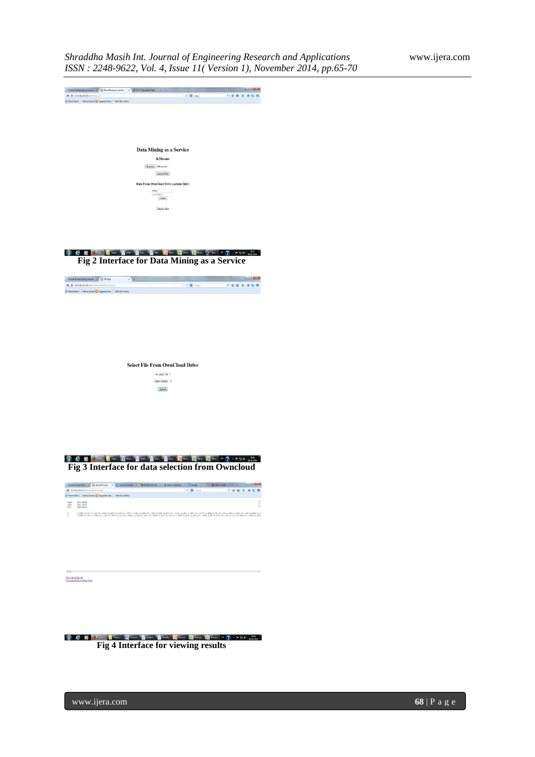

C D Clarent Trees, Elevent Clarence Clarence Clarence Clarence Elevent Electronic N (2) - P U C HE RE **Fig 4 Interface for viewing results**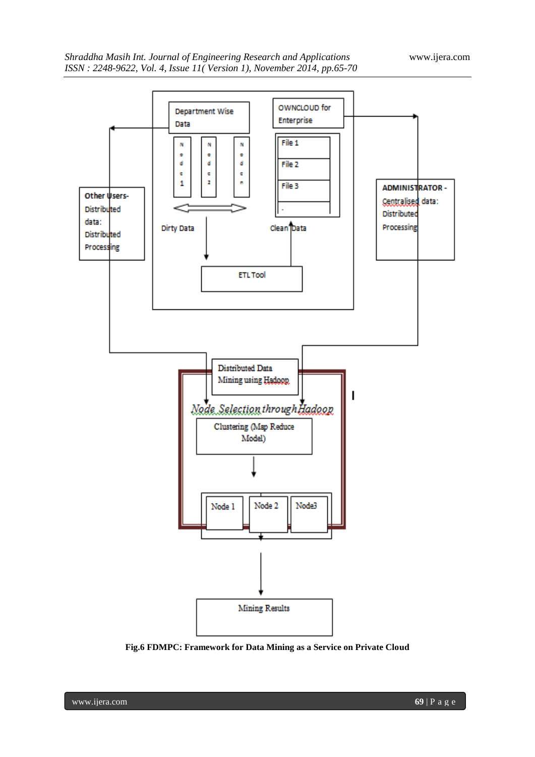

**Fig.6 FDMPC: Framework for Data Mining as a Service on Private Cloud**